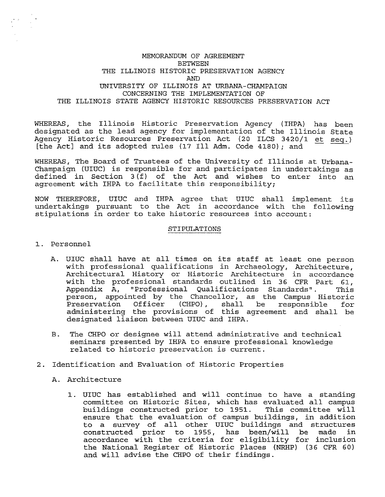## MEMORANDUM OF AGREEMENT BETWEEN THE ILLINOIS HISTORIC PRESERVATION AGENCY AND UNIVERSITY OF ILLINOIS AT URBANA-CHAMPAIGN CONCERNING THE IMPLEMENTATION OF THE ILLINOIS STATE AGENCY HISTORIC RESOURCES PRESERVATION ACT

WHEREAS, the Illinois Historic Preservation Agency (IHPA) has been MHEREAS, the IIIIHOIS HISTOITC PIESERVATION Agency (IHPA) has been<br>designated as the lead agency for implementation of the Illinois State<br>Agency Historic Resources Preservation Act (20 ILCS 3420/1 et seq.) Agency Historic Resources Preservation Act (20 ILCS 3420/1 et seq.)<br>[the Act] and its adopted rules (17 Ill Adm. Code 4180); and

WHEREAS, The Board of Trustees of the University of Illinois at Urbana-Champaign (UIUC) is responsible for and participates in undertakings as defined in Section 3 (f) of the Act and wishes to enter into an agreement with IHPA to facilitate this responsibility;

NOW THEREFORE, UIUC and IHPA agree that UIUC shall implement its undertakings pursuant to the Act in accordance with the following stipulations in order to take historic resources into account:

## STIPULATIONS

- 1. Personnel
	- A. UIUC shall have at all times on its staff at least one person with professional qualifications in Archaeology, Architecture, Architectural History or Historic Architecture in accordance with the professional standards outlined in 36 CFR Part 61, Appendix A, "Professional Qualifications Standards". This person, appointed by the Chancellor, as the Campus Historic Preservation Officer (CHPO), shall be responsible for administering the provisions of this agreement and shall be designated liaison between UIUC and IHPA.
	- B. The CHPO or designee will attend administrative and technical seminars presented by IHPA to ensure professional knowledge related to historic preservation is current.
- 2. Identification and Evaluation of Historic Properties
	- A. Architecture
		- 1. UIUC has established and will continue to have a standing committee on Historic Sites, which has evaluated all campus buildings constructed prior to 1951. This committee will ensure that the evaluation of campus buildings, in addition to a survey of all other UIUC buildings and structures<br>constructed prior to 1955, has been/will be made in constructed prior to 1955, has been/will be made accordance with the criteria for eligibility for inclusion the National Register of Historic Places {NRHP) (36 CFR 60) and will advise the CHPO of their findings.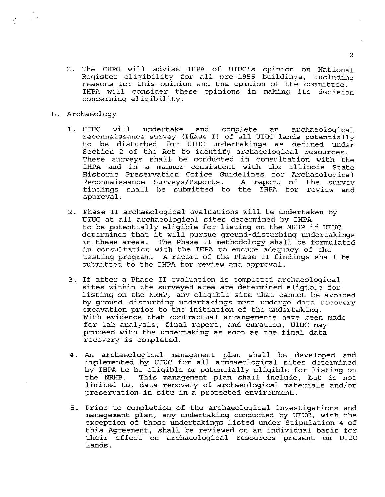- 2. The CHPO will advise IHPA of UIUC's opinion on National Register eligibility for all pre-1955 buildings, including reasons for this opinion and the opinion of the committee. IHPA will consider these opinions in making its decision concerning eligibility.
- B. Archaeology

 $\frac{1}{\sqrt{2}}\left(1-\frac{1}{2}\right)\left(1-\frac{1}{2}\right)^{\frac{1}{2}}$ 

- 1. UIUC will undertake and complete an archaeological reconnaissance survey (Phase I) of all UIUC lands potentially to be disturbed for UIUC undertakings as defined under Section 2 of the Act to identify archaeological resources. These surveys shall be conducted in consultation with the IHPA and in a manner consistent with the Illinois State Historic Preservation Office Guidelines for Archaeological Reconnaissance Surveys/Reports. findings shall be submitted to the IHPA for review and approval.
- 2. Phase II archaeological evaluations will be undertaken by UIUC at all archaeological sites determined by IHPA to be potentially eligible for listing on the NRHP if UIUC determines that it will pursue ground-disturbing undertakings in these areas. The Phase II methodology shall be formulated in consultation with the IHPA to ensure adequacy of the testing program. A report of the Phase II findings shall be submitted to the IHPA for review and approval.
- 3. If after a Phase II evaluation is completed archaeological sites within the surveyed area are determined eligible for listing on the NRHP, any eligible site that cannot be avoided by ground disturbing undertakings must undergo data recovery excavation prior to the initiation of the undertaking. With evidence that contractual arrangements have been made for lab analysis, final report, and curation, UIUC may proceed with the undertaking as soon as the final data recovery is completed.
- 4. An archaeological management plan shall be developed and implemented by UIUC for all archaeological sites determined by IHPA to be eligible or potentially eligible for listing on by infired be diffinite of podditailly diffinite for fiberng on<br>the NRHP. This management plan shall include, but is not limited to, data recovery of archaeological materials and/or preservation in situ in a protected environment.
- 5. Prior to completion of the archaeological investigations and management plan, any undertaking conducted by UIUC, with the exception of those undertakings listed under Stipulation 4 of this Agreement, shall be reviewed on an individual basis for their effect on archaeological resources present on UIUC lands.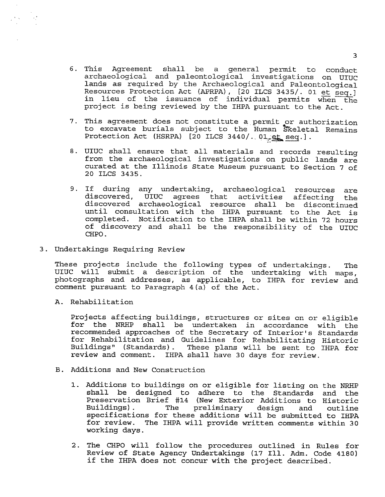- 6. This Agreement shall be a general permit to conduct archaeological and paleontological investigations on UIUC lands as required by the Archaeological and Paleontological<br>Resources Protection Act (APRPA), [20 ILCS 3435/. 01 et seq.] Resources Protection Act (APRPA), [20 ILCS 3435/. 01 et seq.]<br>in lieu of the issuance of individual permits when the project is being reviewed by the IHPA pursuant to the Act.
- 7. This agreement does not constitute a permit or authorization to excavate burials subject to the Human Skeletal Remains Protection Act (HSRPA) [20 ILCS 3440/. 01 et seq.].
- 8. UIUC shall ensure that all materials and records resulting from the archaeological investigations on public lands are curated at the Illinois State Museum pursuant to Section 7 of 20 ILCS 3435.
- 9. If during any undertaking, archaeological resources are discovered, UIUC agrees that activities affecting the discovered archaeological resource shall be discontinued until consultation with the IHPA pursuant to the Act is completed. Notification to the IHPA shall be within 72 hours of discovery and shall be the responsibility of the UIUC CHPO.
- 3. Undertakings Requiring Review

These projects include the following types of undertakings. The UIUC will submit a description of the undertaking with maps, photographs and addresses, as applicable, to IHPA for review and comment pursuant to Paragraph 4(a) of the Act.

A. Rehabilitation

Projects affecting buildings, structures or sites on or eligible for the NRHP shall be undertaken in accordance with the recommended approaches of the Secretary of Interior's Standards for Rehabilitation and Guidelines for Rehabilitating Historic Buildings" (Standards) . These plans will be sent to IHPA for review and comment. IHPA shall have 30 days for review.

- B. Additions and New Construction
	- 1. Additions to buildings on or eligible for listing on the NRHP shall be designed to adhere to the Standards and the Preservation Brief #14 (New Exterior Additions to Historic preliminary design and outline specifications for these additions will be submitted to IHPA for review. The IHPA will provide written comments within 30 working days.
	- 2 . The CHPO will follow the procedures outlined in Rules for Review of State Agency Undertakings (17 Ill. Adm. Code 4180) if the IHPA does not concur with the project described.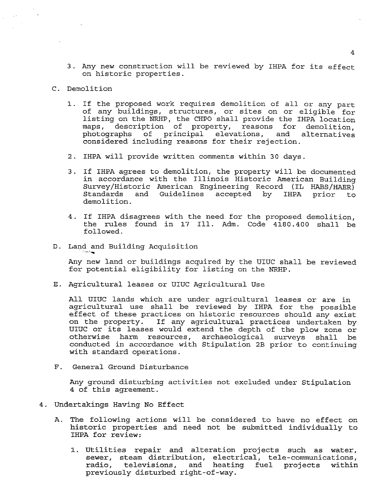- 3. Any new construction will be reviewed by IHPA for its effect on historic properties.
- C. Demolition
	- 1. If the proposed work requires demolition of all or any part of any buildings, structures, or sites on or eligible for listing on the NRHP, the CHPO shall provide the IHPA location maps, description of property, reasons for demolition, photographs of principal elevations, and alternatives considered including reasons for their rejection.
	- 2. IHPA will provide written comments within 30 days.
	- 3. If IHPA agrees to demolition, the property will be documented in accordance with the Illinois Historic American Building Survey/Historic American Engineering Record (IL HABS/HAER)<br>Standards and Guidelines accepted by IHPA prior to Standards and Guidelines accepted by IHPA prior to demolition.
	- 4. If IHPA disagrees with the need for the proposed demolition, the rules found in 17 Ill. Adm. Code 4180.400 shall be followed.
- D. Land and Building Acquisition

Any new land or buildings acquired by the UIUC shall be reviewed for potential eligibility for listing on the NRHP.

E. Agricultural leases or UIUC Agricultural Use

All UIUC lands which are under agricultural leases or are in agricultural use shall be reviewed by IHPA for the possible effect of these practices on historic resources should any exist on the property. If any agricultural practices undertaken by UIUC or its leases would extend the depth of the plow zone or otherwise harm resources, archaeological surveys shall be conducted in accordance with Stipulation 2B prior to continuing with standard operations.

F. General Ground Disturbance

Any ground disturbing activities not excluded under Stipulation 4 of this agreement.

- 4. Undertakings Having No Effect
	- A. The following actions will be considered to have no effect on historic properties and need not be submitted individually to IHPA for review:
		- 1. Utilities repair and alteration projects such as water, sewer, steam distribution, electrical, tele-communications, radio, televisions, and heating fuel projects within previously disturbed right-of-way.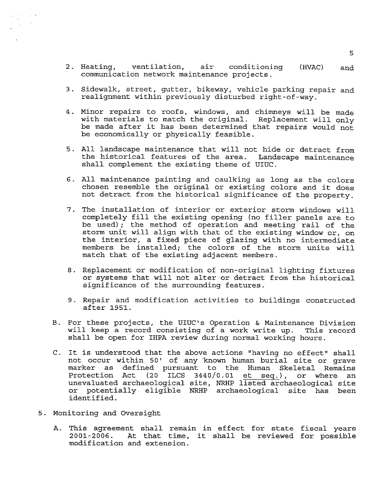- 2. Heating, ventilation, air conditioning (HVAC) and communication network maintenance projects.
- 3. Sidewalk, street, gutter, bikeway, vehicle parking repair and realignment within previously disturbed right-of-way.
- 4. Minor repairs to roofs, windows, and chimneys will be made with materials to match the original. Replacement will only be made after it has been determined that repairs would not be economically or physically feasible.
- 5. All landscape maintenance that will not hide or detract from the historical features of the area. Landscape maintenance shall complement the existing theme of UIUC.
- 6. All maintenance painting and caulking as long as the colors chosen resemble the original or existing colors and it does not detract from the historical significance of the property.
- 7. The installation of interior or exterior storm windows will completely fill the existing opening (no filler panels are to be used) ; the method of operation and meeting rail of the storm unit will align with that of the existing window or, on the interior, a fixed piece of glazing with no intermediate members be installed; the colors of the storm units will match that of the existing adjacent members.
- 8. Replacement or modification of non-original lighting fixtures or systems that will not alter or detract from the historical significance of the surrounding features.
- 9. Repair and modification activities to buildings constructed after 1951.
- B. For these projects, the UIUC's Operation & Maintenance Division will keep a record consisting of a work write up. This record shall be open for IHPA review during normal working hours.
- C. It is understood that the above actions "having no effect" shall not occur within 50' of any known human burial site or grave marker as defined pursuant to the Human Skeletal Remains Protection Act (20 ILCS 3440/0.01 et seq.), or where an unevaluated archaeological site, NRHP listed archaeological site or potentially eligible NRHP archaeological site has been identified.
- 5. Monitoring and Oversight
	- A. This agreement shall remain in effect for state fiscal years 2001-2006. At that time, it shall be reviewed for possible modification and extension.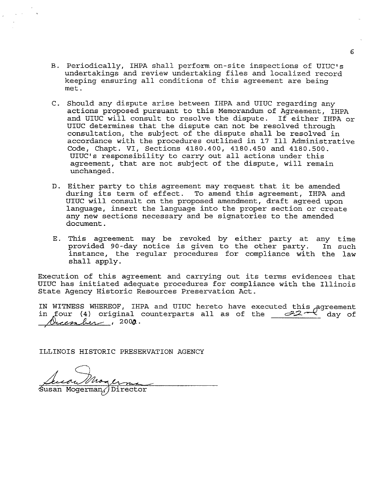- B. Periodically, IHPA shall perform on-site inspections of UIUC's undertakings and review undertaking files and localized record keeping ensuring all conditions of this agreement are being met.
- C. Should any dispute arise between IHPA and UIUC regarding any actions proposed pursuant to this Memorandum of Agreement, IHPA and UIUC will consult to resolve the dispute. If either IHPA or UIUC determines that the dispute can not be resolved through consultation, the subject of the dispute shall be resolved in accordance with the procedures outlined in 17 Ill Administrative Code, Chapt. VI, Sections 4180.400, 4180.450 and 4180.500. UIUC's responsibility to carry out all actions under this agreement, that are not subject of the dispute, will remain unchanged.
- D. Either party to this agreement may request that it be amended during its term of effect. To amend this agreement, IHPA and UIUC will consult on the proposed amendment, draft agreed upon language, insert the language into the proper section or create any new sections necessary and be signatories to the amended document.
- E. This agreement may be revoked by either party at any time provided 90-day notice is given to the other party. In such instance, the regular procedures for compliance with the law shall apply.

Execution of this agreement and carrying out its terms evidences that UIUC has initiated adequate procedures for compliance with the Illinois State Agency Historic Resources Preservation Act.

IN WITNESS WHEREOF, IHPA and UIUC hereto have executed this agreement in  $\pi$  . The conterparts all as of the  $\frac{1}{22}$ ,  $\frac{1}{2}$  day of <u>Aucenher</u>, 200**0**.

ILLINOIS HISTORIC PRESERVATION AGENCY

Magerna Susan Moore<br>Susan Mogerman, Director

6